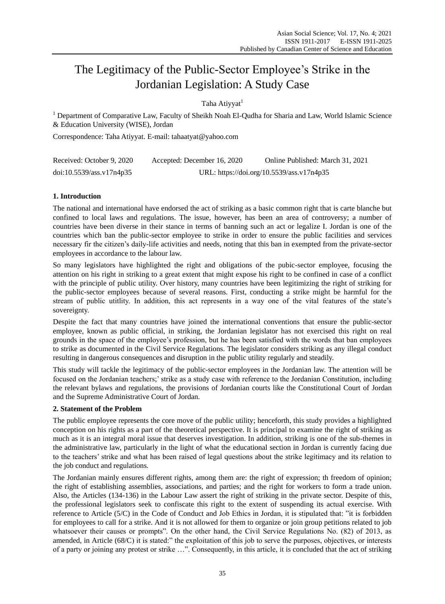# The Legitimacy of the Public-Sector Employee's Strike in the Jordanian Legislation: A Study Case

Taha Ativyat<sup>1</sup>

<sup>1</sup> Department of Comparative Law, Faculty of Sheikh Noah El-Qudha for Sharia and Law, World Islamic Science & Education University (WISE), Jordan

Correspondence: Taha Atiyyat. E-mail: tahaatyat@yahoo.com

| Received: October 9, 2020 | Accepted: December 16, 2020               | Online Published: March 31, 2021 |
|---------------------------|-------------------------------------------|----------------------------------|
| doi:10.5539/ass.v17n4p35  | URL: https://doi.org/10.5539/ass.v17n4p35 |                                  |

# **1. Introduction**

The national and international have endorsed the act of striking as a basic common right that is carte blanche but confined to local laws and regulations. The issue, however, has been an area of controversy; a number of countries have been diverse in their stance in terms of banning such an act or legalize I. Jordan is one of the countries which ban the public-sector employee to strike in order to ensure the public facilities and services necessary fir the citizen's daily-life activities and needs, noting that this ban in exempted from the private-sector employees in accordance to the labour law.

So many legislators have highlighted the right and obligations of the pubic-sector employee, focusing the attention on his right in striking to a great extent that might expose his right to be confined in case of a conflict with the principle of public utility. Over history, many countries have been legitimizing the right of striking for the public-sector employees because of several reasons. First, conducting a strike might be harmful for the stream of public utitlity. In addition, this act represents in a way one of the vital features of the state's sovereignty.

Despite the fact that many countries have joined the international conventions that ensure the public-sector employee, known as public official, in striking, the Jordanian legislator has not exercised this right on real grounds in the space of the employee's profession, but he has been satisfied with the words that ban employees to strike as documented in the Civil Service Regulations. The legislator considers striking as any illegal conduct resulting in dangerous consequences and disruption in the public utility regularly and steadily.

This study will tackle the legitimacy of the public-sector employees in the Jordanian law. The attention will be focused on the Jordanian teachers;' strike as a study case with reference to the Jordanian Constitution, including the relevant bylaws and regulations, the provisions of Jordanian courts like the Constitutional Court of Jordan and the Supreme Administrative Court of Jordan.

## **2. Statement of the Problem**

The public employee represents the core move of the public utility; henceforth, this study provides a highlighted conception on his rights as a part of the theoretical perspective. It is principal to examine the right of striking as much as it is an integral moral issue that deserves investigation. In addition, striking is one of the sub-themes in the administrative law, particularly in the light of what the educational section in Jordan is currently facing due to the teachers' strike and what has been raised of legal questions about the strike legitimacy and its relation to the job conduct and regulations.

The Jordanian mainly ensures different rights, among them are: the right of expression; th freedom of opinion; the right of establishing assemblies, associations, and parties; and the right for workers to form a trade union. Also, the Articles (134-136) in the Labour Law assert the right of striking in the private sector. Despite of this, the professional legislators seek to confiscate this right to the extent of suspending its actual exercise. With reference to Article (5/C) in the Code of Conduct and Job Ethics in Jordan, it is stipulated that: "it is forbidden for employees to call for a strike. And it is not allowed for them to organize or join group petitions related to job whatsoever their causes or prompts". On the other hand, the Civil Service Regulations No. (82) of 2013, as amended, in Article (68/C) it is stated:" the exploitation of this job to serve the purposes, objectives, or interests of a party or joining any protest or strike …". Consequently, in this article, it is concluded that the act of striking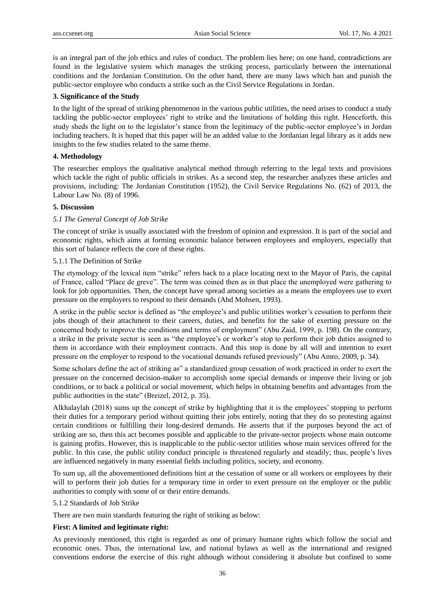is an integral part of the job ethics and rules of conduct. The problem lies here; on one hand, contradictions are found in the legislative system which manages the striking process, particularly between the international conditions and the Jordanian Constitution. On the other hand, there are many laws which ban and punish the public-sector employee who conducts a strike such as the Civil Service Regulations in Jordan.

#### **3. Significance of the Study**

In the light of the spread of striking phenomenon in the various public utilities, the need arises to conduct a study tackling the public-sector employees' right to strike and the limitations of holding this right. Henceforth, this study sheds the light on to the legislator's stance from the legitimacy of the public-sector employee's in Jordan including teachers. It is hoped that this paper will be an added value to the Jordanian legal library as it adds new insights to the few studies related to the same theme.

## **4. Methodology**

The researcher employs the qualitative analytical method through referring to the legal texts and provisions which tackle the right of public officials in strikes. As a second step, the researcher analyzes these articles and provisions, including: The Jordanian Constitution (1952), the Civil Service Regulations No. (62) of 2013, the Labour Law No. (8) of 1996.

## **5. Discussion**

#### *5.1 The General Concept of Job Strike*

The concept of strike is usually associated with the freedom of opinion and expression. It is part of the social and economic rights, which aims at forming economic balance between employees and employers, especially that this sort of balance reflects the core of these rights.

## 5.1.1 The Definition of Strike

The etymology of the lexical item "strike" refers back to a place locating next to the Mayor of Paris, the capital of France, called "Place de greve". The term was coined then as in that place the unemployed were gathering to look for job opportunities. Then, the concept have spread among societies as a means the employees use to exert pressure on the employers to respond to their demands (Abd Mohsen, 1993).

A strike in the public sector is defined as "the employee's and public utilities worker's cessation to perform their jobs though of their attachment to their careers, duties, and benefits for the sake of exerting pressure on the concerned body to improve the conditions and terms of employment" (Abu Zaid, 1999, p. 198). On the contrary, a strike in the private sector is seen as "the employee's or worker's stop to perform their job duties assigned to them in accordance with their employment contracts. And this stop is done by all will and intention to exert pressure on the employer to respond to the vocational demands refused previously" (Abu Amro, 2009, p. 34).

Some scholars define the act of striking as" a standardized group cessation of work practiced in order to exert the pressure on the concerned decision-maker to accomplish some special demands or improve their living or job conditions, or to back a political or social movement, which helps in obtaining benefits and advantages from the public authorities in the state" (Breizel, 2012, p. 35).

Alkhalaylah (2018) sums up the concept of strike by highlighting that it is the employees' stopping to perform their duties for a temporary period without quitting their jobs entirely, noting that they do so protesting against certain conditions or fulfilling their long-desired demands. He asserts that if the purposes beyond the act of striking are so, then this act becomes possible and applicable to the private-sector projects whose main outcome is gaining profits. However, this is inapplicable to the public-sector utilities whose main services offered for the public. In this case, the public utility conduct principle is threatened regularly and steadily; thus, people's lives are influenced negatively in many essential fields including politics, society, and economy.

To sum up, all the abovementioned definitions hint at the cessation of some or all workers or employees by their will to perform their job duties for a temporary time in order to exert pressure on the employer or the public authorities to comply with some of or their entire demands.

## 5.1.2 Standards of Job Strike

There are two main standards featuring the right of striking as below:

#### **First: A limited and legitimate right:**

As previously mentioned, this right is regarded as one of primary humane rights which follow the social and economic ones. Thus, the international law, and national bylaws as well as the international and resigned conventions endorse the exercise of this right although without considering it absolute but confined to some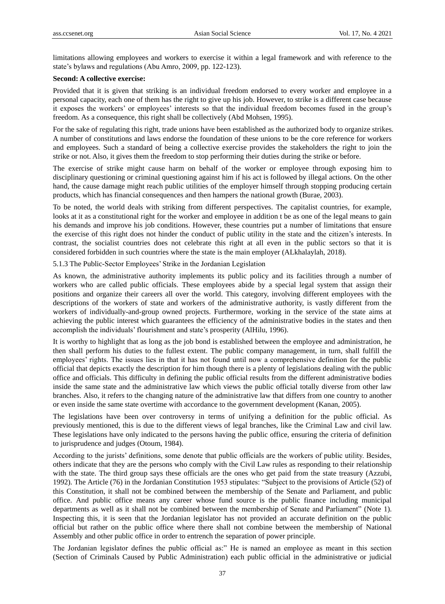limitations allowing employees and workers to exercise it within a legal framework and with reference to the state's bylaws and regulations (Abu Amro, 2009, pp. 122-123).

## **Second: A collective exercise:**

Provided that it is given that striking is an individual freedom endorsed to every worker and employee in a personal capacity, each one of them has the right to give up his job. However, to strike is a different case because it exposes the workers' or employees' interests so that the individual freedom becomes fused in the group's freedom. As a consequence, this right shall be collectively (Abd Mohsen, 1995).

For the sake of regulating this right, trade unions have been established as the authorized body to organize strikes. A number of constitutions and laws endorse the foundation of these unions to be the core reference for workers and employees. Such a standard of being a collective exercise provides the stakeholders the right to join the strike or not. Also, it gives them the freedom to stop performing their duties during the strike or before.

The exercise of strike might cause harm on behalf of the worker or employee through exposing him to disciplinary questioning or criminal questioning against him if his act is followed by illegal actions. On the other hand, the cause damage might reach public utilities of the employer himself through stopping producing certain products, which has financial consequences and then hampers the national growth (Burae, 2003).

To be noted, the world deals with striking from different perspectives. The capitalist countries, for example, looks at it as a constitutional right for the worker and employee in addition t be as one of the legal means to gain his demands and improve his job conditions. However, these countries put a number of limitations that ensure the exercise of this right does not hinder the conduct of public utility in the state and the citizen's interests. In contrast, the socialist countries does not celebrate this right at all even in the public sectors so that it is considered forbidden in such countries where the state is the main employer (ALkhalaylah, 2018).

5.1.3 The Public-Sector Employees' Strike in the Jordanian Legislation

As known, the administrative authority implements its public policy and its facilities through a number of workers who are called public officials. These employees abide by a special legal system that assign their positions and organize their careers all over the world. This category, involving different employees with the descriptions of the workers of state and workers of the administrative authority, is vastly different from the workers of individually-and-group owned projects. Furthermore, working in the service of the state aims at achieving the public interest which guarantees the efficiency of the administrative bodies in the states and then accomplish the individuals' flourishment and state's prosperity (AlHilu, 1996).

It is worthy to highlight that as long as the job bond is established between the employee and administration, he then shall perform his duties to the fullest extent. The public company management, in turn, shall fulfill the employees' rights. The issues lies in that it has not found until now a comprehensive definition for the public official that depicts exactly the description for him though there is a plenty of legislations dealing with the public office and officials. This difficulty in defining the public official results from the different administrative bodies inside the same state and the administrative law which views the public official totally diverse from other law branches. Also, it refers to the changing nature of the administrative law that differs from one country to another or even inside the same state overtime with accordance to the government development (Kanan, 2005).

The legislations have been over controversy in terms of unifying a definition for the public official. As previously mentioned, this is due to the different views of legal branches, like the Criminal Law and civil law. These legislations have only indicated to the persons having the public office, ensuring the criteria of definition to jurisprudence and judges (Otoum, 1984).

According to the jurists' definitions, some denote that public officials are the workers of public utility. Besides, others indicate that they are the persons who comply with the Civil Law rules as responding to their relationship with the state. The third group says these officials are the ones who get paid from the state treasury (Azzubi, 1992). The Article (76) in the Jordanian Constitution 1953 stipulates: "Subject to the provisions of Article (52) of this Constitution, it shall not be combined between the membership of the Senate and Parliament, and public office. And public office means any career whose fund source is the public finance including municipal departments as well as it shall not be combined between the membership of Senate and Parliament" (Note 1). Inspecting this, it is seen that the Jordanian legislator has not provided an accurate definition on the public official but rather on the public office where there shall not combine between the membership of National Assembly and other public office in order to entrench the separation of power principle.

The Jordanian legislator defines the public official as:" He is named an employee as meant in this section (Section of Criminals Caused by Public Administration) each public official in the administrative or judicial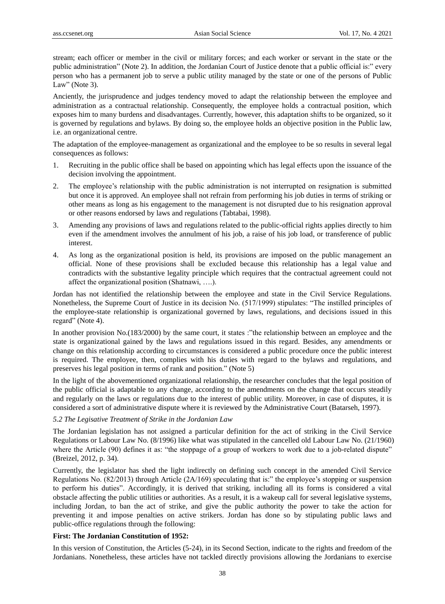stream; each officer or member in the civil or military forces; and each worker or servant in the state or the public administration" (Note 2). In addition, the Jordanian Court of Justice denote that a public official is:" every person who has a permanent job to serve a public utility managed by the state or one of the persons of Public Law" (Note 3).

Anciently, the jurisprudence and judges tendency moved to adapt the relationship between the employee and administration as a contractual relationship. Consequently, the employee holds a contractual position, which exposes him to many burdens and disadvantages. Currently, however, this adaptation shifts to be organized, so it is governed by regulations and bylaws. By doing so, the employee holds an objective position in the Public law, i.e. an organizational centre.

The adaptation of the employee-management as organizational and the employee to be so results in several legal consequences as follows:

- 1. Recruiting in the public office shall be based on appointing which has legal effects upon the issuance of the decision involving the appointment.
- 2. The employee's relationship with the public administration is not interrupted on resignation is submitted but once it is approved. An employee shall not refrain from performing his job duties in terms of striking or other means as long as his engagement to the management is not disrupted due to his resignation approval or other reasons endorsed by laws and regulations (Tabtabai, 1998).
- 3. Amending any provisions of laws and regulations related to the public-official rights applies directly to him even if the amendment involves the annulment of his job, a raise of his job load, or transference of public interest.
- 4. As long as the organizational position is held, its provisions are imposed on the public management an official. None of these provisions shall be excluded because this relationship has a legal value and contradicts with the substantive legality principle which requires that the contractual agreement could not affect the organizational position (Shatnawi, ….).

Jordan has not identified the relationship between the employee and state in the Civil Service Regulations. Nonetheless, the Supreme Court of Justice in its decision No. (517/1999) stipulates: "The instilled principles of the employee-state relationship is organizational governed by laws, regulations, and decisions issued in this regard" (Note 4).

In another provision No.(183/2000) by the same court, it states : "the relationship between an employee and the state is organizational gained by the laws and regulations issued in this regard. Besides, any amendments or change on this relationship according to circumstances is considered a public procedure once the public interest is required. The employee, then, complies with his duties with regard to the bylaws and regulations, and preserves his legal position in terms of rank and position." (Note 5)

In the light of the abovementioned organizational relationship, the researcher concludes that the legal position of the public official is adaptable to any change, according to the amendments on the change that occurs steadily and regularly on the laws or regulations due to the interest of public utility. Moreover, in case of disputes, it is considered a sort of administrative dispute where it is reviewed by the Administrative Court (Batarseh, 1997).

## *5.2 The Legisative Treatment of Strike in the Jordanian Law*

The Jordanian legislation has not assigned a particular definition for the act of striking in the Civil Service Regulations or Labour Law No. (8/1996) like what was stipulated in the cancelled old Labour Law No. (21/1960) where the Article (90) defines it as: "the stoppage of a group of workers to work due to a job-related dispute" (Breizel, 2012, p. 34).

Currently, the legislator has shed the light indirectly on defining such concept in the amended Civil Service Regulations No. (82/2013) through Article (2A/169) speculating that is:" the employee's stopping or suspension to perform his duties". Accordingly, it is derived that striking, including all its forms is considered a vital obstacle affecting the public utilities or authorities. As a result, it is a wakeup call for several legislative systems, including Jordan, to ban the act of strike, and give the public authority the power to take the action for preventing it and impose penalties on active strikers. Jordan has done so by stipulating public laws and public-office regulations through the following:

## **First: The Jordanian Constitution of 1952:**

In this version of Constitution, the Articles (5-24), in its Second Section, indicate to the rights and freedom of the Jordanians. Nonetheless, these articles have not tackled directly provisions allowing the Jordanians to exercise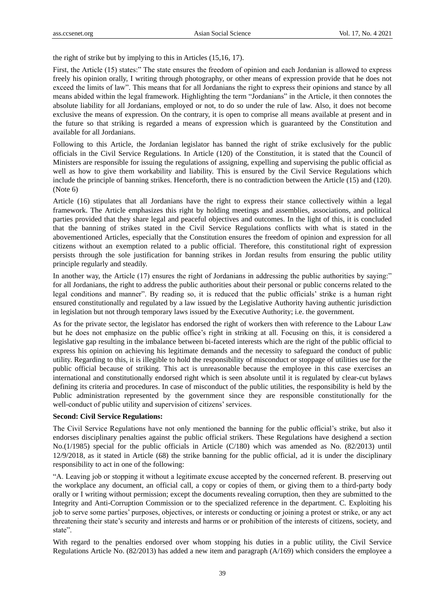the right of strike but by implying to this in Articles (15,16, 17).

First, the Article (15) states:" The state ensures the freedom of opinion and each Jordanian is allowed to express freely his opinion orally, I writing through photography, or other means of expression provide that he does not exceed the limits of law". This means that for all Jordanians the right to express their opinions and stance by all means abided within the legal framework. Highlighting the term "Jordanians" in the Article, it then connotes the absolute liability for all Jordanians, employed or not, to do so under the rule of law. Also, it does not become exclusive the means of expression. On the contrary, it is open to comprise all means available at present and in the future so that striking is regarded a means of expression which is guaranteed by the Constitution and available for all Jordanians.

Following to this Article, the Jordanian legislator has banned the right of strike exclusively for the public officials in the Civil Service Regulations. In Article (120) of the Constitution, it is stated that the Council of Ministers are responsible for issuing the regulations of assigning, expelling and supervising the public official as well as how to give them workability and liability. This is ensured by the Civil Service Regulations which include the principle of banning strikes. Henceforth, there is no contradiction between the Article (15) and (120). (Note 6)

Article (16) stipulates that all Jordanians have the right to express their stance collectively within a legal framework. The Article emphasizes this right by holding meetings and assemblies, associations, and political parties provided that they share legal and peaceful objectives and outcomes. In the light of this, it is concluded that the banning of strikes stated in the Civil Service Regulations conflicts with what is stated in the abovementioned Articles, especially that the Constitution ensures the freedom of opinion and expression for all citizens without an exemption related to a public official. Therefore, this constitutional right of expression persists through the sole justification for banning strikes in Jordan results from ensuring the public utility principle regularly and steadily.

In another way, the Article (17) ensures the right of Jordanians in addressing the public authorities by saying:" for all Jordanians, the right to address the public authorities about their personal or public concerns related to the legal conditions and manner". By reading so, it is reduced that the public officials' strike is a human right ensured constitutionally and regulated by a law issued by the Legislative Authority having authentic jurisdiction in legislation but not through temporary laws issued by the Executive Authority; i.e. the government.

As for the private sector, the legislator has endorsed the right of workers then with reference to the Labour Law but he does not emphasize on the public office's right in striking at all. Focusing on this, it is considered a legislative gap resulting in the imbalance between bi-faceted interests which are the right of the public official to express his opinion on achieving his legitimate demands and the necessity to safeguard the conduct of public utility. Regarding to this, it is illegible to hold the responsibility of misconduct or stoppage of utilities use for the public official because of striking. This act is unreasonable because the employee in this case exercises an international and constitutionally endorsed right which is seen absolute until it is regulated by clear-cut bylaws defining its criteria and procedures. In case of misconduct of the public utilities, the responsibility is held by the Public administration represented by the government since they are responsible constitutionally for the well-conduct of public utility and supervision of citizens' services.

## **Second: Civil Service Regulations:**

The Civil Service Regulations have not only mentioned the banning for the public official's strike, but also it endorses disciplinary penalties against the public official strikers. These Regulations have desighend a section No.(1/1985) special for the public officials in Article (C/180) which was amended as No. (82/2013) until 12/9/2018, as it stated in Article (68) the strike banning for the public official, ad it is under the disciplinary responsibility to act in one of the following:

"A. Leaving job or stopping it without a legitimate excuse accepted by the concerned referent. B. preserving out the workplace any document, an official call, a copy or copies of them, or giving them to a third-party body orally or I writing without permission; except the documents revealing corruption, then they are submitted to the Integrity and Anti-Corruption Commission or to the specialized reference in the department. C. Exploiting his job to serve some parties' purposes, objectives, or interests or conducting or joining a protest or strike, or any act threatening their state's security and interests and harms or or prohibition of the interests of citizens, society, and state".

With regard to the penalties endorsed over whom stopping his duties in a public utility, the Civil Service Regulations Article No. (82/2013) has added a new item and paragraph (A/169) which considers the employee a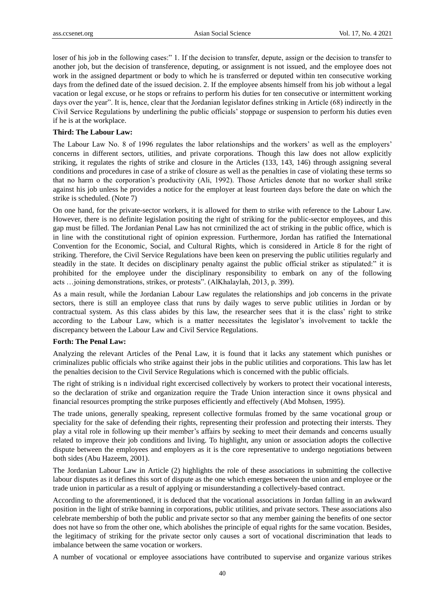loser of his job in the following cases:" 1. If the decision to transfer, depute, assign or the decision to transfer to another job, but the decision of transference, deputing, or assignment is not issued, and the employee does not work in the assigned department or body to which he is transferred or deputed within ten consecutive working days from the defined date of the issued decision. 2. If the employee absents himself from his job without a legal vacation or legal excuse, or he stops or refrains to perform his duties for ten consecutive or intermittent working days over the year". It is, hence, clear that the Jordanian legislator defines striking in Article (68) indirectly in the Civil Service Regulations by underlining the public officials' stoppage or suspension to perform his duties even if he is at the workplace.

## **Third: The Labour Law:**

The Labour Law No. 8 of 1996 regulates the labor relationships and the workers' as well as the employers' concerns in different sectors, utilities, and private corporations. Though this law does not allow explicitly striking, it regulates the rights of strike and closure in the Articles (133, 143, 146) through assigning several conditions and procedures in case of a strike of closure as well as the penalties in case of violating these terms so that no harm o the corporation's productivity (Ali, 1992). Those Articles denote that no worker shall strike against his job unless he provides a notice for the employer at least fourteen days before the date on which the strike is scheduled. (Note 7)

On one hand, for the private-sector workers, it is allowed for them to strike with reference to the Labour Law. However, there is no definite legislation positing the right of striking for the public-sector employees, and this gap must be filled. The Jordanian Penal Law has not crminilized the act of striking in the public office, which is in line with the constitutional right of opinion expression. Furthermore, Jordan has ratified the International Convention for the Economic, Social, and Cultural Rights, which is considered in Article 8 for the right of striking. Therefore, the Civil Service Regulations have been keen on preserving the public utilities regularly and steadily in the state. It decides on disciplinary penalty against the public official striker as stipulated:" it is prohibited for the employee under the disciplinary responsibility to embark on any of the following acts …joining demonstrations, strikes, or protests". (AlKhalaylah, 2013, p. 399).

As a main result, while the Jordanian Labour Law regulates the relationships and job concerns in the private sectors, there is still an employee class that runs by daily wages to serve public utilities in Jordan or by contractual system. As this class abides by this law, the researcher sees that it is the class' right to strike according to the Labour Law, which is a matter necessitates the legislator's involvement to tackle the discrepancy between the Labour Law and Civil Service Regulations.

## **Forth: The Penal Law:**

Analyzing the relevant Articles of the Penal Law, it is found that it lacks any statement which punishes or criminalizes public officials who strike against their jobs in the public utilities and corporations. This law has let the penalties decision to the Civil Service Regulations which is concerned with the public officials.

The right of striking is n individual right excercised collectively by workers to protect their vocational interests, so the declaration of strike and organization require the Trade Union interaction since it owns physical and financial resources prompting the strike purposes efficiently and effectively (Abd Mohsen, 1995).

The trade unions, generally speaking, represent collective formulas fromed by the same vocational group or speciality for the sake of defending their rights, representing their profession and protecting their intersts. They play a vital role in following up their member's affairs by seeking to meet their demands and concerns usually related to improve their job conditions and living. To highlight, any union or association adopts the collective dispute between the employees and employers as it is the core representative to undergo negotiations between both sides (Abu Hazeem, 2001).

The Jordanian Labour Law in Article (2) highlights the role of these associations in submitting the collective labour disputes as it defines this sort of dispute as the one which emerges between the union and employee or the trade union in particular as a result of applying or misunderstanding a collectively-based contract.

According to the aforementioned, it is deduced that the vocational associations in Jordan falling in an awkward position in the light of strike banning in corporations, public utilities, and private sectors. These associations also celebrate membership of both the public and private sector so that any member gaining the benefits of one sector does not have so from the other one, which abolishes the principle of equal rights for the same vocation. Besides, the legitimacy of striking for the private sector only causes a sort of vocational discrimination that leads to imbalance between the same vocation or workers.

A number of vocational or employee associations have contributed to supervise and organize various strikes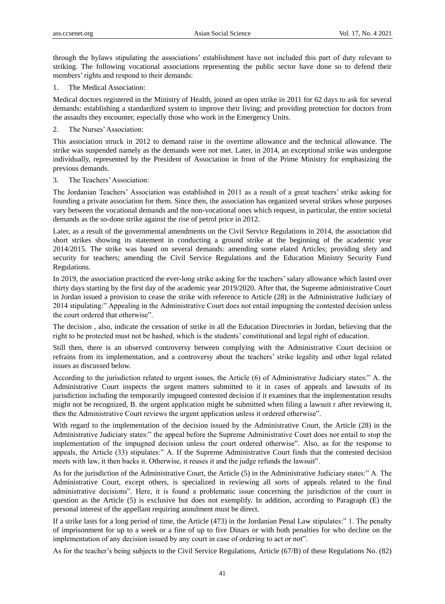through the bylaws stipulating the associations' establishment have not included this part of duty relevant to striking. The following vocational associations representing the public sector have done so to defend their members' rights and respond to their demands:

1. The Medical Association:

Medical doctors registered in the Ministry of Health, joined an open strike in 2011 for 62 days to ask for several demands: establishing a standardized system to improve their living; and providing protection for doctors from the assaults they encounter, especially those who work in the Emergency Units.

2. The Nurses' Association:

This association struck in 2012 to demand raise in the overtime allowance and the technical allowance. The strike was suspended namely as the demands were not met. Later, in 2014, an exceptional strike was undergone individually, represented by the President of Association in front of the Prime Ministry for emphasizing the previous demands.

3. The Teachers' Association:

The Jordanian Teachers' Association was established in 2011 as a result of a great teachers' strike asking for founding a private association for them. Since then, the association has organized several strikes whose purposes vary between the vocational demands and the non-vocational ones which request, in particular, the entire societal demands as the so-done strike against the rise of petrol price in 2012.

Later, as a result of the governmental amendments on the Civil Service Regulations in 2014, the association did short strikes showing its statement in conducting a ground strike at the beginning of the academic year 2014/2015. The strike was based on several demands: amending some elated Articles; providing sfety and security for teachers; amending the Civil Service Regulations and the Education Ministry Security Fund Regulations.

In 2019, the association practiced the ever-long strike asking for the teachers' salary allowance which lasted over thirty days starting by the first day of the academic year 2019/2020. After that, the Supreme administrative Court in Jordan issued a provision to cease the strike with reference to Article (28) in the Administrative Judiciary of 2014 stipulating:" Appealing in the Administrative Court does not entail impugning the contested decision unless the court ordered that otherwise".

The decision , also, indicate the cessation of strike in all the Education Directories in Jordan, believing that the right to be protected must not be hashed, which is the students' constitutional and legal right of education.

Still then, there is an observed controversy between complying with the Administrative Court decision or refrains from its implementation, and a controversy about the teachers' strike legality and other legal related issues as discussed below.

According to the jurisdiction related to urgent issues, the Article (6) of Administrative Judiciary states:" A. the Administrative Court inspects the urgent matters submitted to it in cases of appeals and lawsuits of its jurisdiction including the temporarily impugned contested decision if it examines that the implementation results might not be recognized, B. the urgent application might be submitted when filing a lawsuit r after reviewing it, then the Administrative Court reviews the urgent application unless it ordered otherwise".

With regard to the implementation of the decision issued by the Administrative Court, the Article (28) in the Administrative Judiciary states:" the appeal before the Supreme Administrative Court does not entail to stop the implementation of the impugned decision unless the court ordered otherwise". Also, as for the response to appeals, the Article (33) stipulates:" A. If the Supreme Administrative Court finds that the contested decision meets with law, it then backs it. Otherwise, it reuses it and the judge refunds the lawsuit".

As for the jurisdiction of the Administrative Court, the Article (5) in the Administrative Judiciary states:" A. The Administrative Court, except others, is specialized in reviewing all sorts of appeals related to the final administrative decisions". Here, it is found a problematic issue concerning the jurisdiction of the court in question as the Article (5) is exclusive but does not exemplify. In addition, according to Paragraph (E) the personal interest of the appellant requiring annulment must be direct.

If a strike lasts for a long period of time, the Article (473) in the Jordanian Penal Law stipulates:" 1. The penalty of imprisonment for up to a week or a fine of up to five Dinars or with both penalties for who decline on the implementation of any decision issued by any court in case of ordering to act or not".

As for the teacher's being subjects to the Civil Service Regulations, Article (67/B) of these Regulations No. (82)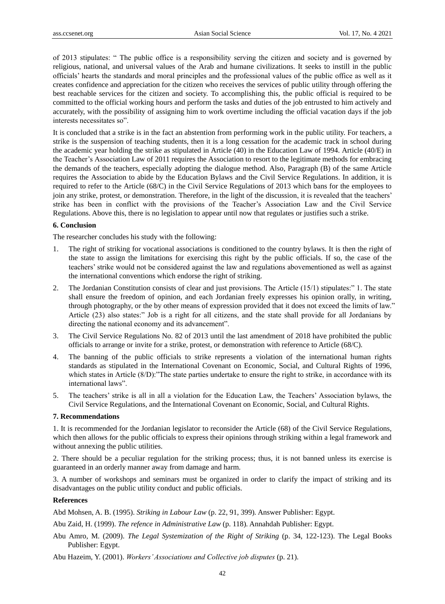of 2013 stipulates: " The public office is a responsibility serving the citizen and society and is governed by religious, national, and universal values of the Arab and humane civilizations. It seeks to instill in the public officials' hearts the standards and moral principles and the professional values of the public office as well as it creates confidence and appreciation for the citizen who receives the services of public utility through offering the best reachable services for the citizen and society. To accomplishing this, the public official is required to be committed to the official working hours and perform the tasks and duties of the job entrusted to him actively and accurately, with the possibility of assigning him to work overtime including the official vacation days if the job interests necessitates so".

It is concluded that a strike is in the fact an abstention from performing work in the public utility. For teachers, a strike is the suspension of teaching students, then it is a long cessation for the academic track in school during the academic year holding the strike as stipulated in Article (40) in the Education Law of 1994. Article (40/E) in the Teacher's Association Law of 2011 requires the Association to resort to the legitimate methods for embracing the demands of the teachers, especially adopting the dialogue method. Also, Paragraph (B) of the same Article requires the Association to abide by the Education Bylaws and the Civil Service Regulations. In addition, it is required to refer to the Article (68/C) in the Civil Service Regulations of 2013 which bans for the employees to join any strike, protest, or demonstration. Therefore, in the light of the discussion, it is revealed that the teachers' strike has been in conflict with the provisions of the Teacher's Association Law and the Civil Service Regulations. Above this, there is no legislation to appear until now that regulates or justifies such a strike.

#### **6. Conclusion**

The researcher concludes his study with the following:

- 1. The right of striking for vocational associations is conditioned to the country bylaws. It is then the right of the state to assign the limitations for exercising this right by the public officials. If so, the case of the teachers' strike would not be considered against the law and regulations abovementioned as well as against the international conventions which endorse the right of striking.
- 2. The Jordanian Constitution consists of clear and just provisions. The Article (15/1) stipulates:" 1. The state shall ensure the freedom of opinion, and each Jordanian freely expresses his opinion orally, in writing, through photography, or the by other means of expression provided that it does not exceed the limits of law." Article (23) also states:" Job is a right for all citizens, and the state shall provide for all Jordanians by directing the national economy and its advancement".
- 3. The Civil Service Regulations No. 82 of 2013 until the last amendment of 2018 have prohibited the public officials to arrange or invite for a strike, protest, or demonstration with reference to Article (68/C).
- 4. The banning of the public officials to strike represents a violation of the international human rights standards as stipulated in the International Covenant on Economic, Social, and Cultural Rights of 1996, which states in Article (8/D): The state parties undertake to ensure the right to strike, in accordance with its international laws".
- 5. The teachers' strike is all in all a violation for the Education Law, the Teachers' Association bylaws, the Civil Service Regulations, and the International Covenant on Economic, Social, and Cultural Rights.

## **7. Recommendations**

1. It is recommended for the Jordanian legislator to reconsider the Article (68) of the Civil Service Regulations, which then allows for the public officials to express their opinions through striking within a legal framework and without annexing the public utilities.

2. There should be a peculiar regulation for the striking process; thus, it is not banned unless its exercise is guaranteed in an orderly manner away from damage and harm.

3. A number of workshops and seminars must be organized in order to clarify the impact of striking and its disadvantages on the public utility conduct and public officials.

## **References**

Abd Mohsen, A. B. (1995). *Striking in Labour Law* (p. 22, 91, 399)*.* Answer Publisher: Egypt.

Abu Zaid, H. (1999). *The refence in Administrative Law* (p. 118)*.* Annahdah Publisher: Egypt.

Abu Amro, M. (2009). *The Legal Systemization of the Right of Striking* (p. 34, 122-123). The Legal Books Publisher: Egypt.

Abu Hazeim, Y. (2001). *Workers' Associations and Collective job disputes* (p. 21).